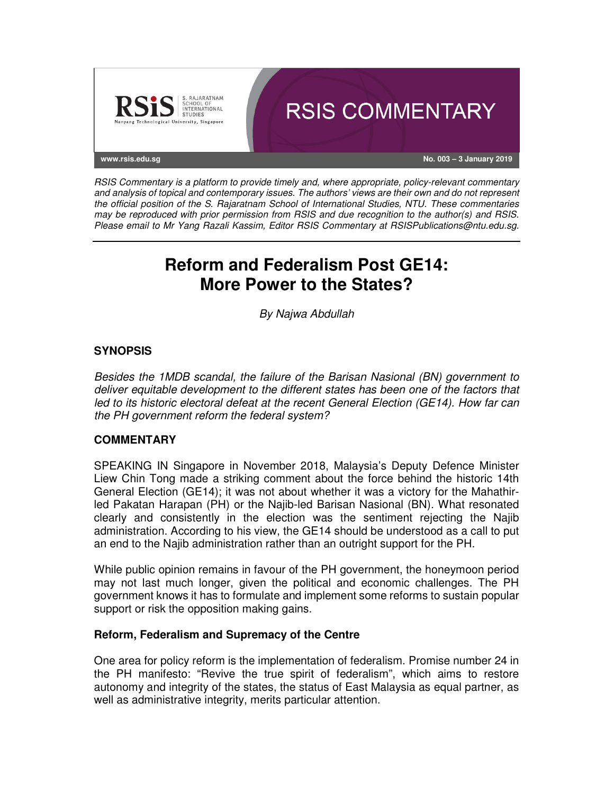

RSIS Commentary is a platform to provide timely and, where appropriate, policy-relevant commentary and analysis of topical and contemporary issues. The authors' views are their own and do not represent the official position of the S. Rajaratnam School of International Studies, NTU. These commentaries may be reproduced with prior permission from RSIS and due recognition to the author(s) and RSIS. Please email to Mr Yang Razali Kassim, Editor RSIS Commentary at RSISPublications@ntu.edu.sg.

# **Reform and Federalism Post GE14: More Power to the States?**

By Najwa Abdullah

# **SYNOPSIS**

Besides the 1MDB scandal, the failure of the Barisan Nasional (BN) government to deliver equitable development to the different states has been one of the factors that led to its historic electoral defeat at the recent General Election (GE14). How far can the PH government reform the federal system?

### **COMMENTARY**

SPEAKING IN Singapore in November 2018, Malaysia's Deputy Defence Minister Liew Chin Tong made a striking comment about the force behind the historic 14th General Election (GE14); it was not about whether it was a victory for the Mahathirled Pakatan Harapan (PH) or the Najib-led Barisan Nasional (BN). What resonated clearly and consistently in the election was the sentiment rejecting the Najib administration. According to his view, the GE14 should be understood as a call to put an end to the Najib administration rather than an outright support for the PH.

While public opinion remains in favour of the PH government, the honeymoon period may not last much longer, given the political and economic challenges. The PH government knows it has to formulate and implement some reforms to sustain popular support or risk the opposition making gains.

### **Reform, Federalism and Supremacy of the Centre**

One area for policy reform is the implementation of federalism. Promise number 24 in the PH manifesto: "Revive the true spirit of federalism", which aims to restore autonomy and integrity of the states, the status of East Malaysia as equal partner, as well as administrative integrity, merits particular attention.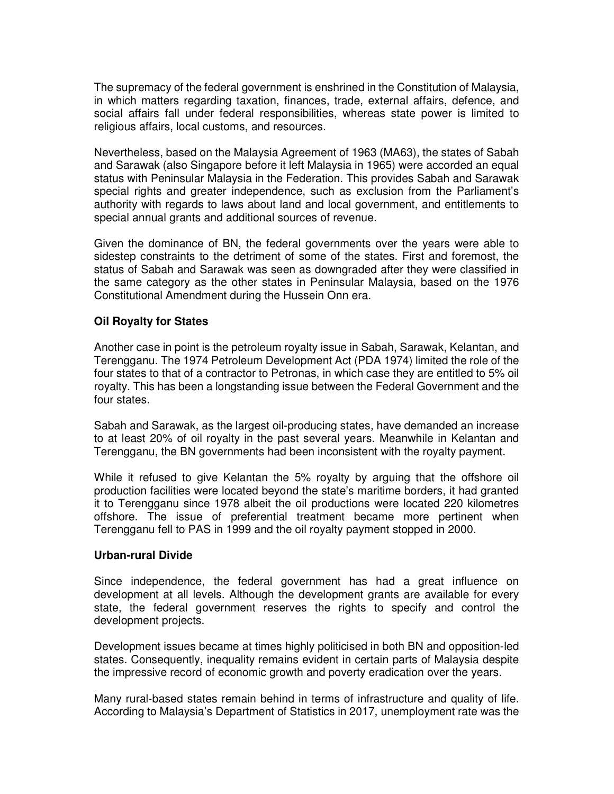The supremacy of the federal government is enshrined in the Constitution of Malaysia, in which matters regarding taxation, finances, trade, external affairs, defence, and social affairs fall under federal responsibilities, whereas state power is limited to religious affairs, local customs, and resources.

Nevertheless, based on the Malaysia Agreement of 1963 (MA63), the states of Sabah and Sarawak (also Singapore before it left Malaysia in 1965) were accorded an equal status with Peninsular Malaysia in the Federation. This provides Sabah and Sarawak special rights and greater independence, such as exclusion from the Parliament's authority with regards to laws about land and local government, and entitlements to special annual grants and additional sources of revenue.

Given the dominance of BN, the federal governments over the years were able to sidestep constraints to the detriment of some of the states. First and foremost, the status of Sabah and Sarawak was seen as downgraded after they were classified in the same category as the other states in Peninsular Malaysia, based on the 1976 Constitutional Amendment during the Hussein Onn era.

### **Oil Royalty for States**

Another case in point is the petroleum royalty issue in Sabah, Sarawak, Kelantan, and Terengganu. The 1974 Petroleum Development Act (PDA 1974) limited the role of the four states to that of a contractor to Petronas, in which case they are entitled to 5% oil royalty. This has been a longstanding issue between the Federal Government and the four states.

Sabah and Sarawak, as the largest oil-producing states, have demanded an increase to at least 20% of oil royalty in the past several years. Meanwhile in Kelantan and Terengganu, the BN governments had been inconsistent with the royalty payment.

While it refused to give Kelantan the 5% royalty by arguing that the offshore oil production facilities were located beyond the state's maritime borders, it had granted it to Terengganu since 1978 albeit the oil productions were located 220 kilometres offshore. The issue of preferential treatment became more pertinent when Terengganu fell to PAS in 1999 and the oil royalty payment stopped in 2000.

### **Urban-rural Divide**

Since independence, the federal government has had a great influence on development at all levels. Although the development grants are available for every state, the federal government reserves the rights to specify and control the development projects.

Development issues became at times highly politicised in both BN and opposition-led states. Consequently, inequality remains evident in certain parts of Malaysia despite the impressive record of economic growth and poverty eradication over the years.

Many rural-based states remain behind in terms of infrastructure and quality of life. According to Malaysia's Department of Statistics in 2017, unemployment rate was the